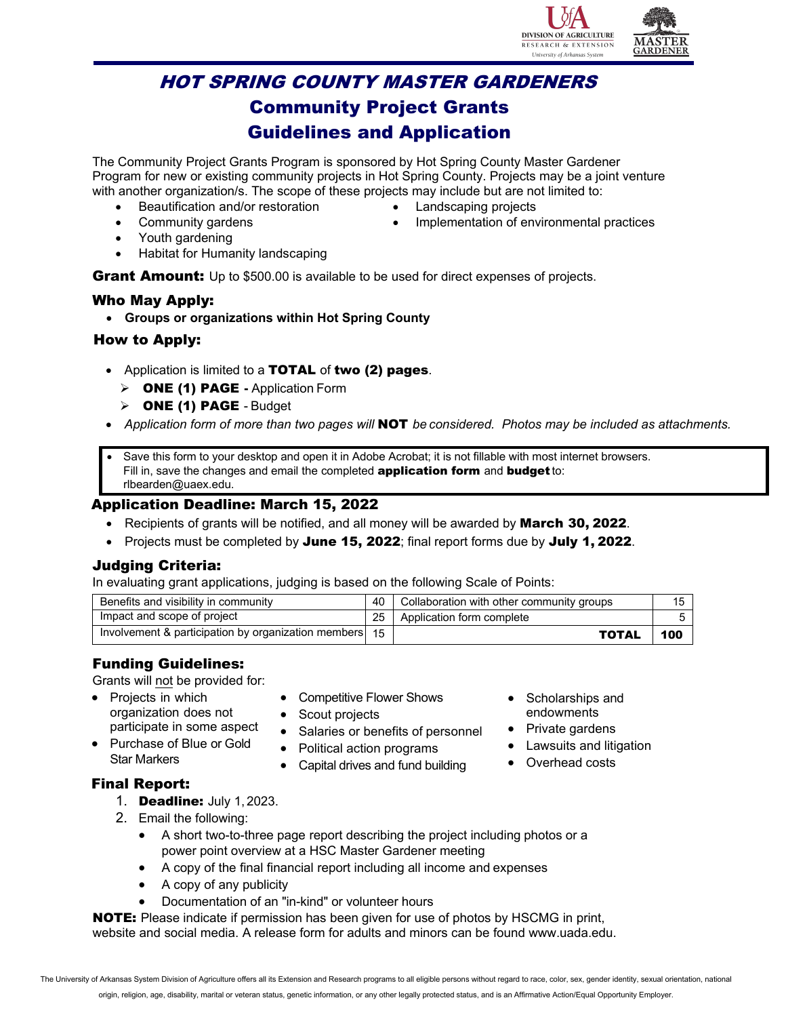

# HOT SPRING COUNTY MASTER GARDENERS Community Project Grants Guidelines and Application

The Community Project Grants Program is sponsored by Hot Spring County Master Gardener Program for new or existing community projects in Hot Spring County. Projects may be a joint venture with another organization/s. The scope of these projects may include but are not limited to:

- Beautification and/or restoration
- Landscaping projects

Community gardens

• Implementation of environmental practices

- Youth gardening
- Habitat for Humanity landscaping

**Grant Amount:** Up to \$500.00 is available to be used for direct expenses of projects.

#### Who May Apply:

• **Groups or organizations within Hot Spring County**

#### How to Apply:

- Application is limited to a TOTAL of two (2) pages.
	- ONE (1) PAGE Application Form
	- $\triangleright$  ONE (1) PAGE Budget
- *Application form of more than two pages will* NOT *be considered. Photos may be included as attachments.*
- Save this form to your desktop and open it in Adobe Acrobat; it is not fillable with most internet browsers. Fill in, save the changes and email the completed **[application form](mailto:PLANTAMERICAGRANTS@gmail.com)** and **budget** to: rlbearden@uaex.edu.

#### Application Deadline: March 15, 2022

- Recipients of grants will be notified, and all money will be awarded by March 30, 2022.
- Projects must be completed by June 15, 2022; final report forms due by July 1, 2022.

#### Judging Criteria:

In evaluating grant applications, judging is based on the following Scale of Points:

| Benefits and visibility in community                   | 40 | Collaboration with other community groups |     |
|--------------------------------------------------------|----|-------------------------------------------|-----|
| Impact and scope of project                            |    | Application form complete                 |     |
| Involvement & participation by organization members 15 |    | <b>TOTAL</b>                              | 100 |

### Funding Guidelines:

Grants will not be provided for:

- Projects in which organization does not participate in some aspect
- Scout projects • Salaries or benefits of personnel

• Competitive Flower Shows

• Purchase of Blue or Gold Star Markers

# • Political action programs

• Capital drives and fund building

- Scholarships and endowments
- Private gardens
- Lawsuits and litigation
- Overhead costs

- Final Report:
	- 1. Deadline: July 1, 2023.
	- 2. Email the following:
		- A short two-to-three page report describing the project including photos or a power point overview at a HSC Master Gardener meeting
		- A copy of the final financial report including all income and expenses
		- A copy of any publicity
		- Documentation of an "in-kind" or volunteer hours

NOTE: [Please indicate if permission has](http://www.gardenclub.org/about-us/press-room/minor-image-release.aspx) been given for use of photos by HSCMG in print, website and social media. A release form for adults and minors can be found www.uada.edu.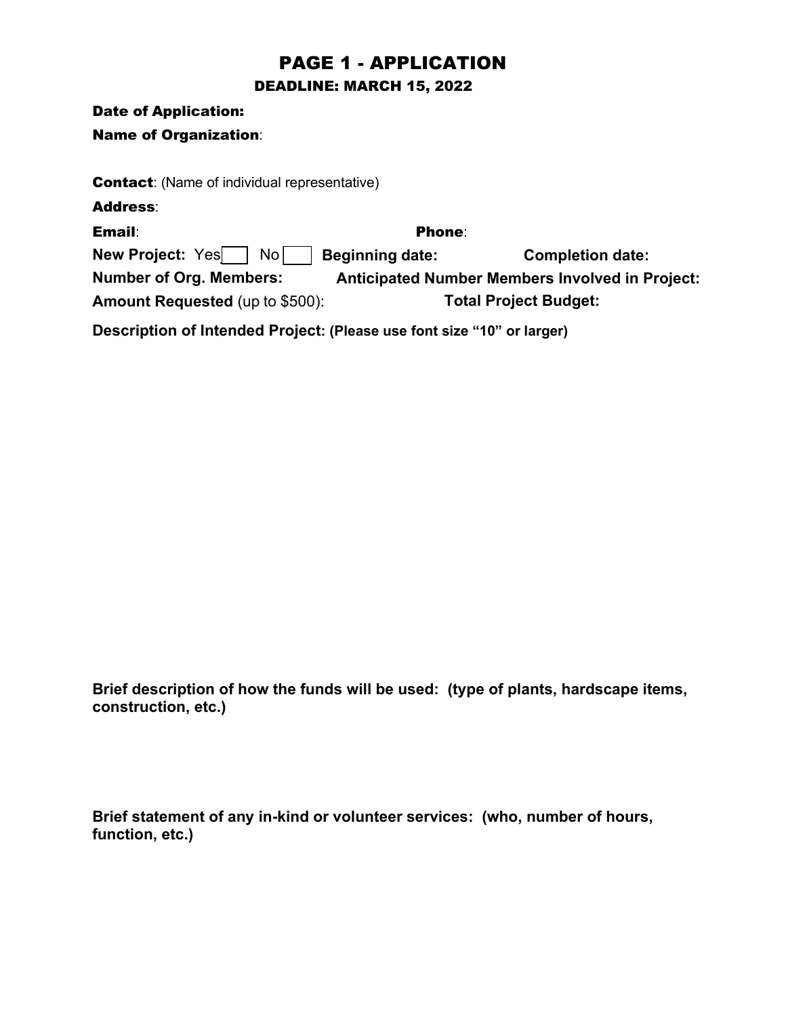# PAGE 1 - APPLICATION

DEADLINE: MARCH 15, 2022

Date of Application:

Name of Organization:

**Contact:** (Name of individual representative)

Address: Phone:  ${\sf New Project: Yes} \begin{tabular}{|c|c|c|} \hline \quad \quad & No & \quad \quad & Beginning date: \end{tabular}$  Completion date: **Anticipated Number Members Involved in Project:**  Email: **Number of Org. Members: Amount Requested** (up to \$500): **Total Project Budget:**

**Description of Intended Project: (Please use font size "10" or larger)**

**Brief description of how the funds will be used: (type of plants, hardscape items, construction, etc.)** 

**Brief statement of any in-kind or volunteer services: (who, number of hours, function, etc.)**